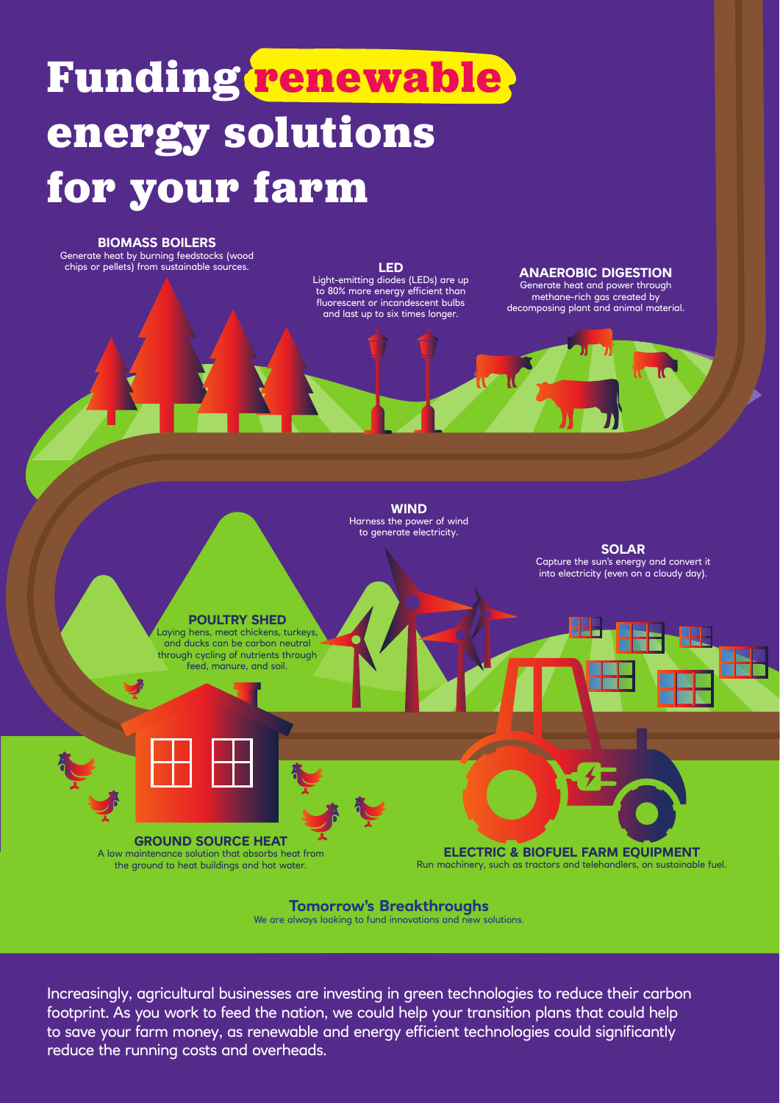# **Funding renewable. energy solutions for your farm**



**Tomorrow's Breakthroughs**  We are always looking to fund innovations and new solutions.

Increasingly, agricultural businesses are investing in green technologies to reduce their carbon footprint. As you work to feed the nation, we could help your transition plans that could help to save your farm money, as renewable and energy efficient technologies could significantly reduce the running costs and overheads.